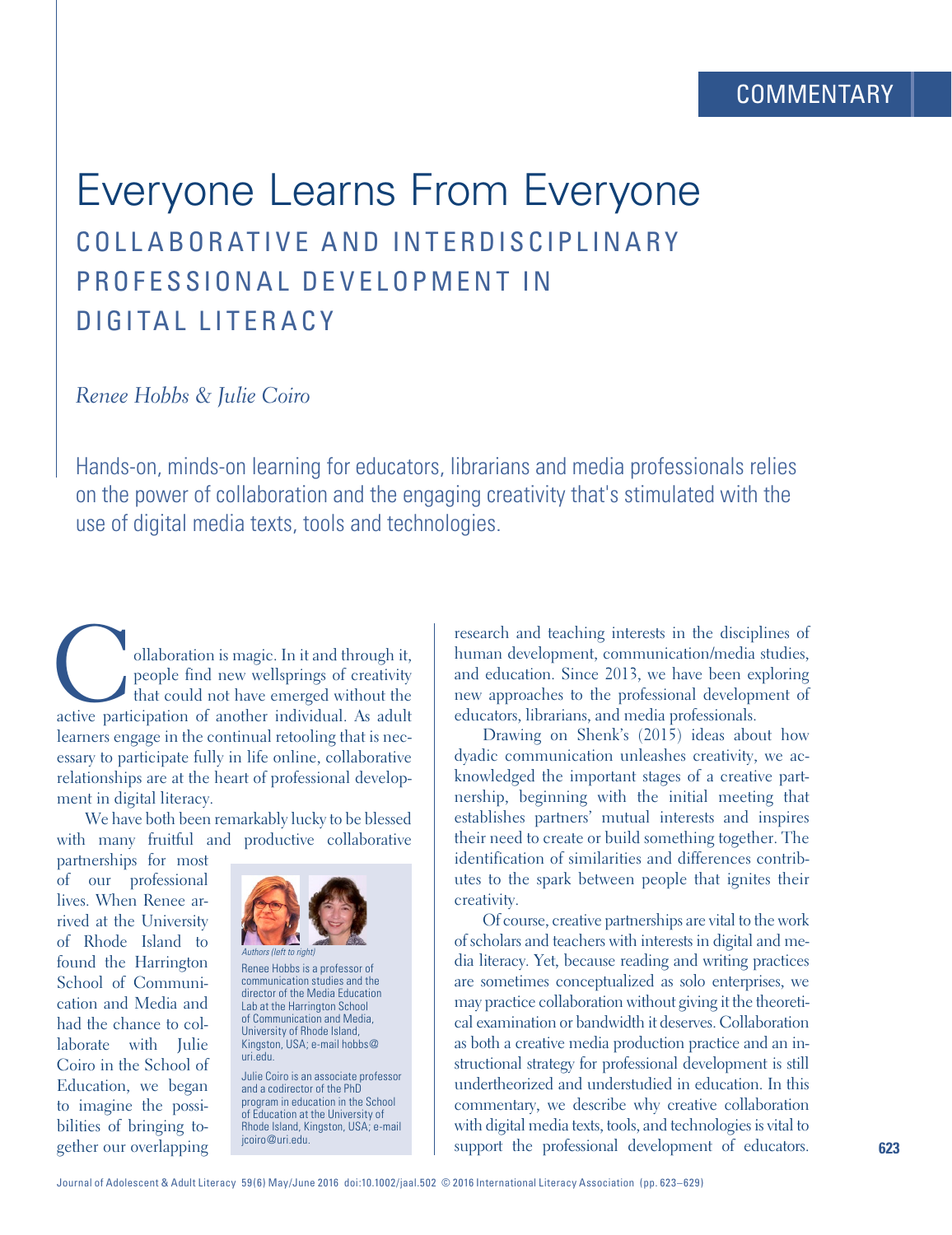# Everyone Learns From Everyone COLLABORATIVE AND INTERDISCIPLINARY PROFFSSIONAL DEVELOPMENT IN DIGITAL LITERACY

*Renee Hobbs* & *Julie Coiro* 

Hands-on, minds-on learning for educators, librarians and media professionals relies on the power of collaboration and the engaging creativity that's stimulated with the use of digital media texts, tools and technologies.

ollaboration is magic. In it and through it,<br>people find new wellsprings of creativity<br>that could not have emerged without the<br>active participation of another individual. As adult people find new wellsprings of creativity that could not have emerged without the active participation of another individual. As adult learners engage in the continual retooling that is necessary to participate fully in life online, collaborative relationships are at the heart of professional development in digital literacy.

We have both been remarkably lucky to be blessed with many fruitful and productive collaborative

partnerships for most of our professional lives. When Renee arrived at the University of Rhode Island to found the Harrington School of Communication and Media and had the chance to collaborate with Julie Coiro in the School of Education, we began to imagine the possibilities of bringing together our overlapping



Renee Hobbs is a professor of communication studies and the director of the Media Education Lab at the Harrington School of Communication and Media, University of Rhode Island, Kingston, USA; e-mail [hobbs@](mailto:hobbs@uri.edu) [uri.edu.](mailto:hobbs@uri.edu)

Julie Coiro is an associate professor and a codirector of the PhD program in education in the School of Education at the University of Rhode Island, Kingston, USA; e-mail [jcoiro@uri.edu](mailto:jcoiro@uri.edu).

research and teaching interests in the disciplines of human development, communication/media studies, and education. Since 2013, we have been exploring new approaches to the professional development of educators, librarians, and media professionals.

Drawing on Shenk's (2015) ideas about how dyadic communication unleashes creativity, we acknowledged the important stages of a creative partnership, beginning with the initial meeting that establishes partners' mutual interests and inspires their need to create or build something together. The identification of similarities and differences contributes to the spark between people that ignites their creativity.

Of course, creative partnerships are vital to the work of scholars and teachers with interests in digital and media literacy. Yet, because reading and writing practices are sometimes conceptualized as solo enterprises, we may practice collaboration without giving it the theoretical examination or bandwidth it deserves. Collaboration as both a creative media production practice and an instructional strategy for professional development is still undertheorized and understudied in education. In this commentary, we describe why creative collaboration with digital media texts, tools, and technologies is vital to support the professional development of educators.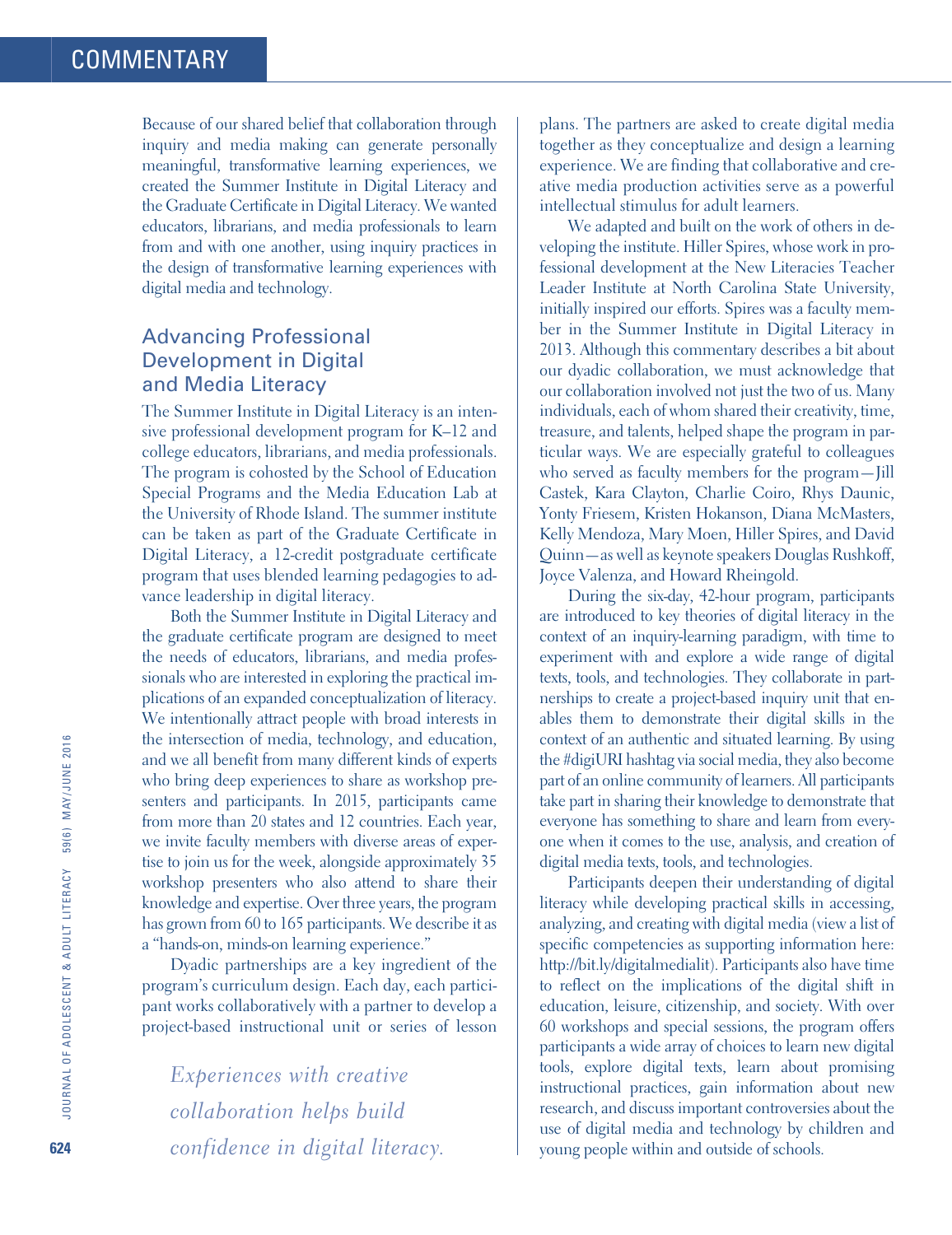Because of our shared belief that collaboration through inquiry and media making can generate personally meaningful, transformative learning experiences, we created the Summer Institute in Digital Literacy and the Graduate Certificate in Digital Literacy. We wanted educators, librarians, and media professionals to learn from and with one another, using inquiry practices in the design of transformative learning experiences with digital media and technology.

# Advancing Professional Development in Digital and Media Literacy

The Summer Institute in Digital Literacy is an intensive professional development program for K–12 and college educators, librarians, and media professionals. The program is cohosted by the School of Education Special Programs and the Media Education Lab at the University of Rhode Island. The summer institute can be taken as part of the Graduate Certificate in Digital Literacy, a 12-credit postgraduate certificate program that uses blended learning pedagogies to advance leadership in digital literacy.

Both the Summer Institute in Digital Literacy and the graduate certificate program are designed to meet the needs of educators, librarians, and media professionals who are interested in exploring the practical implications of an expanded conceptualization of literacy. We intentionally attract people with broad interests in the intersection of media, technology, and education, and we all benefit from many different kinds of experts who bring deep experiences to share as workshop presenters and participants. In 2015, participants came from more than 20 states and 12 countries. Each year, we invite faculty members with diverse areas of expertise to join us for the week, alongside approximately 35 workshop presenters who also attend to share their knowledge and expertise. Over three years, the program has grown from 60 to 165 participants. We describe it as a "hands-on, minds-on learning experience."

Dyadic partnerships are a key ingredient of the program's curriculum design. Each day, each participant works collaboratively with a partner to develop a project-based instructional unit or series of lesson

*Experiences with creative collaboration helps build confidence in digital literacy.* plans. The partners are asked to create digital media together as they conceptualize and design a learning experience. We are finding that collaborative and creative media production activities serve as a powerful intellectual stimulus for adult learners.

We adapted and built on the work of others in developing the institute. Hiller Spires, whose work in professional development at the New Literacies Teacher Leader Institute at North Carolina State University, initially inspired our efforts. Spires was a faculty member in the Summer Institute in Digital Literacy in 2013. Although this commentary describes a bit about our dyadic collaboration, we must acknowledge that our collaboration involved not just the two of us. Many individuals, each of whom shared their creativity, time, treasure, and talents, helped shape the program in particular ways. We are especially grateful to colleagues who served as faculty members for the program-Jill Castek, Kara Clayton, Charlie Coiro, Rhys Daunic, Yonty Friesem, Kristen Hokanson, Diana McMasters, Kelly Mendoza, Mary Moen, Hiller Spires, and David Quinn—as well as keynote speakers Douglas Rushkoff, Joyce Valenza, and Howard Rheingold.

During the six-day, 42-hour program, participants are introduced to key theories of digital literacy in the context of an inquiry-learning paradigm, with time to experiment with and explore a wide range of digital texts, tools, and technologies. They collaborate in partnerships to create a project-based inquiry unit that enables them to demonstrate their digital skills in the context of an authentic and situated learning. By using the #digiURI hashtag via social media, they also become part of an online community of learners. All participants take part in sharing their knowledge to demonstrate that everyone has something to share and learn from everyone when it comes to the use, analysis, and creation of digital media texts, tools, and technologies.

Participants deepen their understanding of digital literacy while developing practical skills in accessing, analyzing, and creating with digital media (view a list of specific competencies as supporting information here: [http://bit.ly/digitalmedialit\)](http://bit.ly/digitalmedialit). Participants also have time to reflect on the implications of the digital shift in education, leisure, citizenship, and society. With over 60 workshops and special sessions, the program offers participants a wide array of choices to learn new digital tools, explore digital texts, learn about promising instructional practices, gain information about new research, and discuss important controversies about the use of digital media and technology by children and young people within and outside of schools.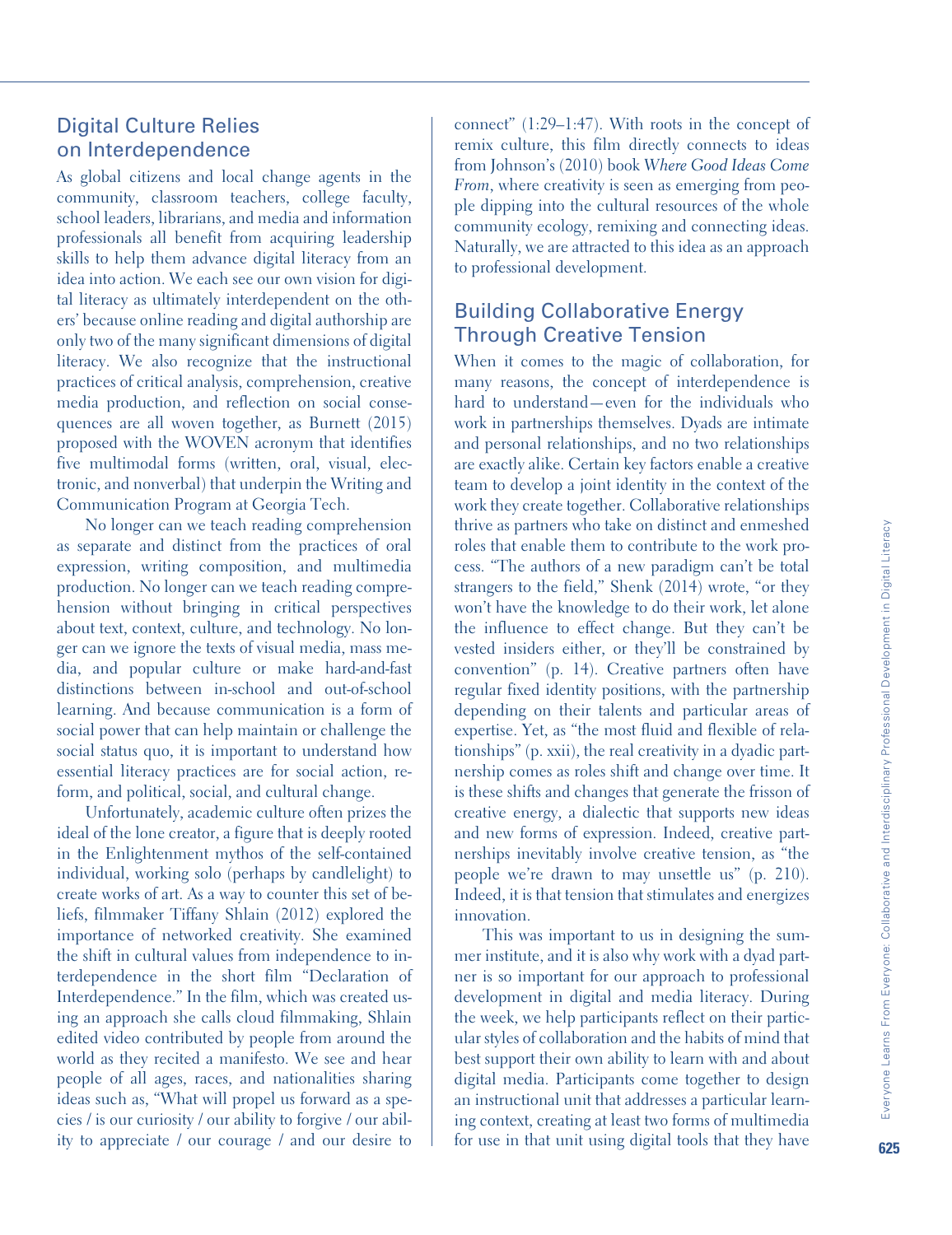## Digital Culture Relies on Interdependence

As global citizens and local change agents in the community, classroom teachers, college faculty, school leaders, librarians, and media and information professionals all benefit from acquiring leadership skills to help them advance digital literacy from an idea into action. We each see our own vision for digital literacy as ultimately interdependent on the others' because online reading and digital authorship are only two of the many significant dimensions of digital literacy. We also recognize that the instructional practices of critical analysis, comprehension, creative media production, and reflection on social consequences are all woven together, as Burnett (2015) proposed with the WOVEN acronym that identifies five multimodal forms (written, oral, visual, electronic, and nonverbal) that underpin the Writing and Communication Program at Georgia Tech.

No longer can we teach reading comprehension as separate and distinct from the practices of oral expression, writing composition, and multimedia production. No longer can we teach reading comprehension without bringing in critical perspectives about text, context, culture, and technology. No longer can we ignore the texts of visual media, mass media, and popular culture or make hard-and-fast distinctions between in-school and out-of-school learning. And because communication is a form of social power that can help maintain or challenge the social status quo, it is important to understand how essential literacy practices are for social action, reform, and political, social, and cultural change.

Unfortunately, academic culture often prizes the ideal of the lone creator, a figure that is deeply rooted in the Enlightenment mythos of the self-contained individual, working solo (perhaps by candlelight) to create works of art. As a way to counter this set of beliefs, filmmaker Tiffany Shlain (2012) explored the importance of networked creativity. She examined the shift in cultural values from independence to interdependence in the short film "Declaration of Interdependence." In the film, which was created using an approach she calls cloud filmmaking, Shlain edited video contributed by people from around the world as they recited a manifesto. We see and hear people of all ages, races, and nationalities sharing ideas such as, "What will propel us forward as a species / is our curiosity / our ability to forgive / our ability to appreciate / our courage / and our desire to

connect" (1:29–1:47). With roots in the concept of remix culture, this film directly connects to ideas from Johnson's (2010) book *Where Good Ideas Come From*, where creativity is seen as emerging from people dipping into the cultural resources of the whole community ecology, remixing and connecting ideas. Naturally, we are attracted to this idea as an approach to professional development.

# Building Collaborative Energy Through Creative Tension

When it comes to the magic of collaboration, for many reasons, the concept of interdependence is hard to understand—even for the individuals who work in partnerships themselves. Dyads are intimate and personal relationships, and no two relationships are exactly alike. Certain key factors enable a creative team to develop a joint identity in the context of the work they create together. Collaborative relationships thrive as partners who take on distinct and enmeshed roles that enable them to contribute to the work process. "The authors of a new paradigm can't be total strangers to the field," Shenk (2014) wrote, "or they won't have the knowledge to do their work, let alone the influence to effect change. But they can't be vested insiders either, or they'll be constrained by convention" (p. 14). Creative partners often have regular fixed identity positions, with the partnership depending on their talents and particular areas of expertise. Yet, as "the most fluid and flexible of relationships" (p. xxii), the real creativity in a dyadic partnership comes as roles shift and change over time. It is these shifts and changes that generate the frisson of creative energy, a dialectic that supports new ideas and new forms of expression. Indeed, creative partnerships inevitably involve creative tension, as "the people we're drawn to may unsettle us" (p. 210). Indeed, it is that tension that stimulates and energizes innovation.

This was important to us in designing the summer institute, and it is also why work with a dyad partner is so important for our approach to professional development in digital and media literacy. During the week, we help participants reflect on their particular styles of collaboration and the habits of mind that best support their own ability to learn with and about digital media. Participants come together to design an instructional unit that addresses a particular learning context, creating at least two forms of multimedia for use in that unit using digital tools that they have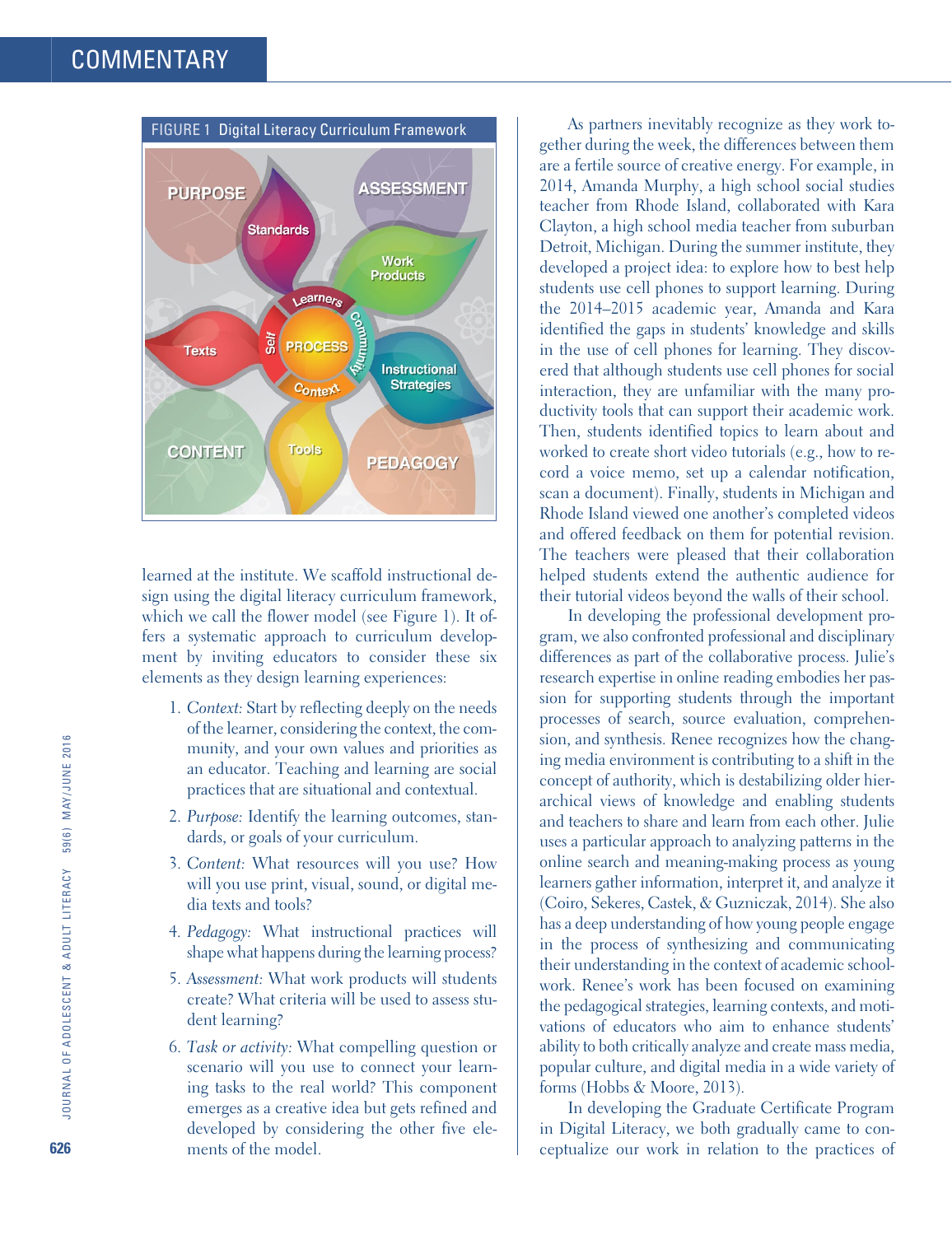

learned at the institute. We scaffold instructional design using the digital literacy curriculum framework, which we call the flower model (see Figure 1). It offers a systematic approach to curriculum development by inviting educators to consider these six elements as they design learning experiences:

- 1. *Context:* Start by reflecting deeply on the needs of the learner, considering the context, the community, and your own values and priorities as an educator. Teaching and learning are social practices that are situational and contextual.
- 2. *Purpose:* Identify the learning outcomes, standards, or goals of your curriculum.
- 3. *Content:* What resources will you use? How will you use print, visual, sound, or digital media texts and tools?
- 4. *Pedagogy:* What instructional practices will shape what happens during the learning process?
- 5. *Assessment:* What work products will students create? What criteria will be used to assess student learning?
- 6. *Task or activity:* What compelling question or scenario will you use to connect your learning tasks to the real world? This component emerges as a creative idea but gets refined and developed by considering the other five elements of the model.

As partners inevitably recognize as they work together during the week, the differences between them are a fertile source of creative energy. For example, in 2014, Amanda Murphy, a high school social studies teacher from Rhode Island, collaborated with Kara Clayton, a high school media teacher from suburban Detroit, Michigan. During the summer institute, they developed a project idea: to explore how to best help students use cell phones to support learning. During the 2014–2015 academic year, Amanda and Kara identified the gaps in students' knowledge and skills in the use of cell phones for learning. They discovered that although students use cell phones for social interaction, they are unfamiliar with the many productivity tools that can support their academic work. Then, students identified topics to learn about and worked to create short video tutorials (e.g., how to record a voice memo, set up a calendar notification, scan a document). Finally, students in Michigan and Rhode Island viewed one another's completed videos and offered feedback on them for potential revision. The teachers were pleased that their collaboration helped students extend the authentic audience for their tutorial videos beyond the walls of their school.

In developing the professional development program, we also confronted professional and disciplinary differences as part of the collaborative process. Julie's research expertise in online reading embodies her passion for supporting students through the important processes of search, source evaluation, comprehension, and synthesis. Renee recognizes how the changing media environment is contributing to a shift in the concept of authority, which is destabilizing older hierarchical views of knowledge and enabling students and teachers to share and learn from each other. Julie uses a particular approach to analyzing patterns in the online search and meaning-making process as young learners gather information, interpret it, and analyze it (Coiro, Sekeres, Castek, & Guzniczak, 2014). She also has a deep understanding of how young people engage in the process of synthesizing and communicating their understanding in the context of academic schoolwork. Renee's work has been focused on examining the pedagogical strategies, learning contexts, and motivations of educators who aim to enhance students' ability to both critically analyze and create mass media, popular culture, and digital media in a wide variety of forms (Hobbs & Moore, 2013).

In developing the Graduate Certificate Program in Digital Literacy, we both gradually came to conceptualize our work in relation to the practices of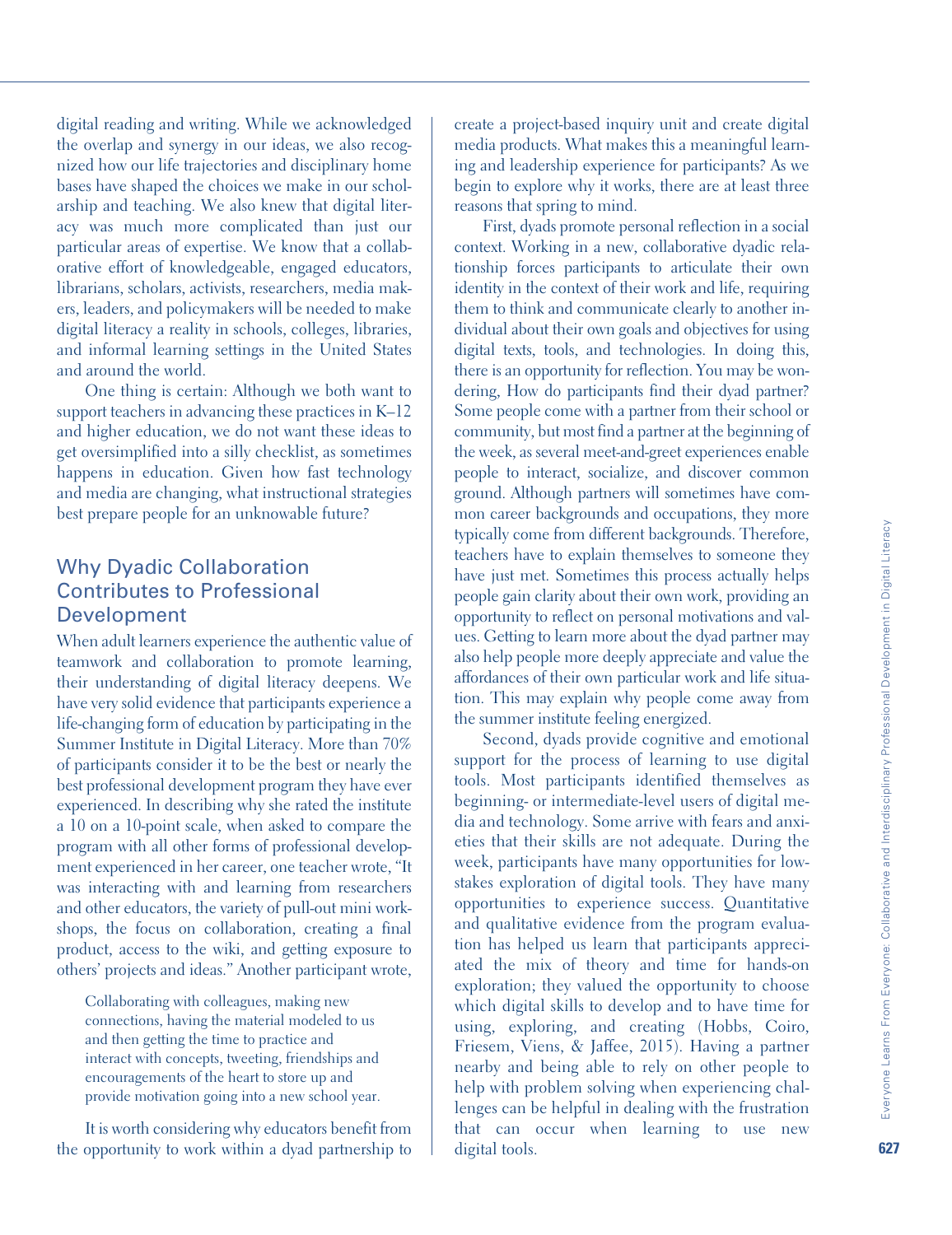digital reading and writing. While we acknowledged the overlap and synergy in our ideas, we also recognized how our life trajectories and disciplinary home bases have shaped the choices we make in our scholarship and teaching. We also knew that digital literacy was much more complicated than just our particular areas of expertise. We know that a collaborative effort of knowledgeable, engaged educators, librarians, scholars, activists, researchers, media makers, leaders, and policymakers will be needed to make digital literacy a reality in schools, colleges, libraries, and informal learning settings in the United States and around the world.

One thing is certain: Although we both want to support teachers in advancing these practices in K–12 and higher education, we do not want these ideas to get oversimplified into a silly checklist, as sometimes happens in education. Given how fast technology and media are changing, what instructional strategies best prepare people for an unknowable future?

#### Why Dyadic Collaboration Contributes to Professional Development

When adult learners experience the authentic value of teamwork and collaboration to promote learning, their understanding of digital literacy deepens. We have very solid evidence that participants experience a life-changing form of education by participating in the Summer Institute in Digital Literacy. More than 70% of participants consider it to be the best or nearly the best professional development program they have ever experienced. In describing why she rated the institute a 10 on a 10-point scale, when asked to compare the program with all other forms of professional development experienced in her career, one teacher wrote, "It was interacting with and learning from researchers and other educators, the variety of pull-out mini workshops, the focus on collaboration, creating a final product, access to the wiki, and getting exposure to others' projects and ideas." Another participant wrote,

Collaborating with colleagues, making new connections, having the material modeled to us and then getting the time to practice and interact with concepts, tweeting, friendships and encouragements of the heart to store up and provide motivation going into a new school year.

It is worth considering why educators benefit from the opportunity to work within a dyad partnership to create a project-based inquiry unit and create digital media products. What makes this a meaningful learning and leadership experience for participants? As we begin to explore why it works, there are at least three reasons that spring to mind.

First, dyads promote personal reflection in a social context. Working in a new, collaborative dyadic relationship forces participants to articulate their own identity in the context of their work and life, requiring them to think and communicate clearly to another individual about their own goals and objectives for using digital texts, tools, and technologies. In doing this, there is an opportunity for reflection. You may be wondering, How do participants find their dyad partner? Some people come with a partner from their school or community, but most find a partner at the beginning of the week, as several meet-and-greet experiences enable people to interact, socialize, and discover common ground. Although partners will sometimes have common career backgrounds and occupations, they more typically come from different backgrounds. Therefore, teachers have to explain themselves to someone they have just met. Sometimes this process actually helps people gain clarity about their own work, providing an opportunity to reflect on personal motivations and values. Getting to learn more about the dyad partner may also help people more deeply appreciate and value the affordances of their own particular work and life situation. This may explain why people come away from the summer institute feeling energized.

Second, dyads provide cognitive and emotional support for the process of learning to use digital tools. Most participants identified themselves as beginning- or intermediate-level users of digital media and technology. Some arrive with fears and anxieties that their skills are not adequate. During the week, participants have many opportunities for lowstakes exploration of digital tools. They have many opportunities to experience success. Quantitative and qualitative evidence from the program evaluation has helped us learn that participants appreciated the mix of theory and time for hands-on exploration; they valued the opportunity to choose which digital skills to develop and to have time for using, exploring, and creating (Hobbs, Coiro, Friesem, Viens, & Jaffee, 2015). Having a partner nearby and being able to rely on other people to help with problem solving when experiencing challenges can be helpful in dealing with the frustration that can occur when learning to use new digital tools.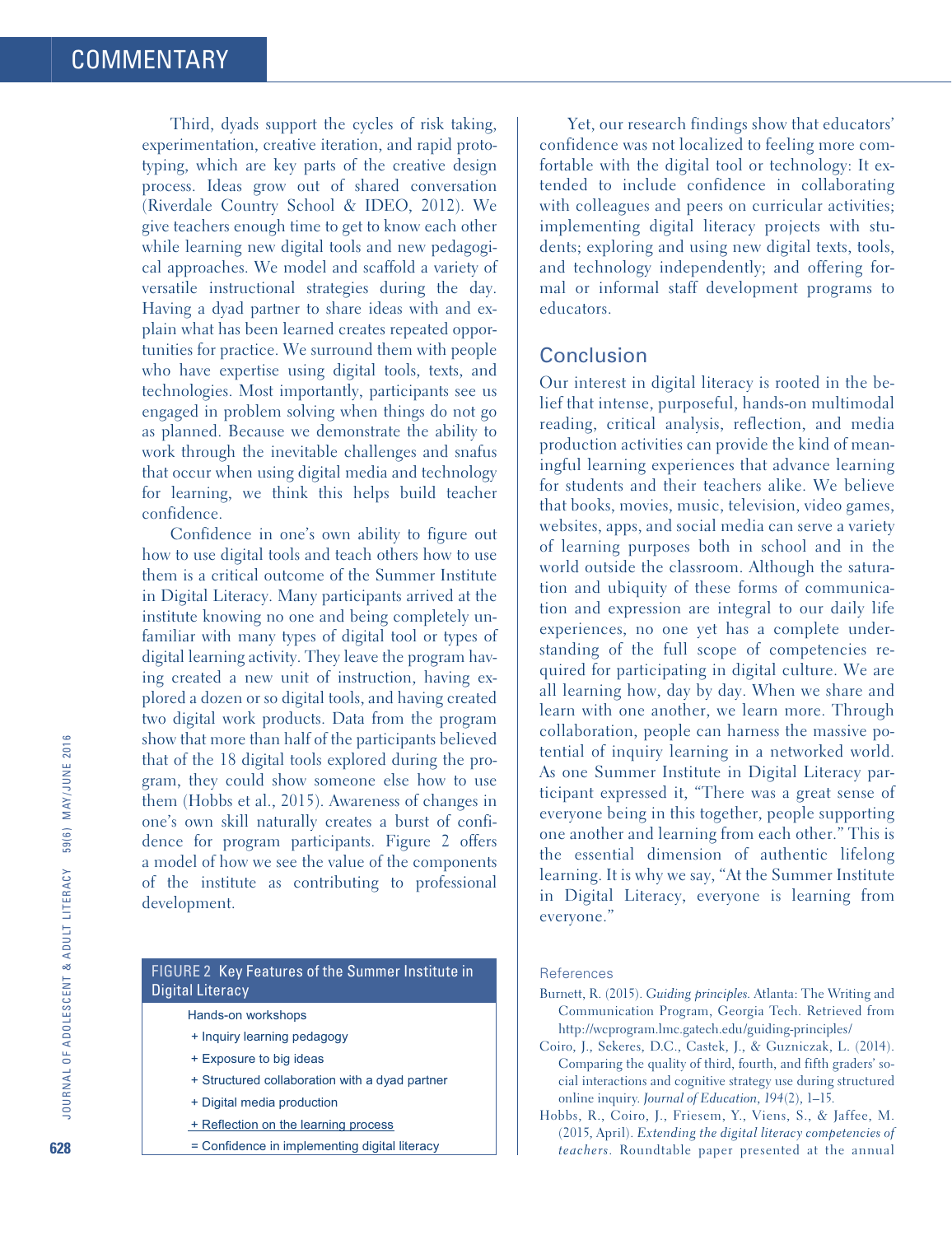Third, dyads support the cycles of risk taking, experimentation, creative iteration, and rapid prototyping, which are key parts of the creative design process. Ideas grow out of shared conversation (Riverdale Country School & IDEO, 2012). We give teachers enough time to get to know each other while learning new digital tools and new pedagogical approaches. We model and scaffold a variety of versatile instructional strategies during the day. Having a dyad partner to share ideas with and explain what has been learned creates repeated opportunities for practice. We surround them with people who have expertise using digital tools, texts, and technologies. Most importantly, participants see us engaged in problem solving when things do not go as planned. Because we demonstrate the ability to work through the inevitable challenges and snafus that occur when using digital media and technology for learning, we think this helps build teacher confidence.

Confidence in one's own ability to figure out how to use digital tools and teach others how to use them is a critical outcome of the Summer Institute in Digital Literacy. Many participants arrived at the institute knowing no one and being completely unfamiliar with many types of digital tool or types of digital learning activity. They leave the program having created a new unit of instruction, having explored a dozen or so digital tools, and having created two digital work products. Data from the program show that more than half of the participants believed that of the 18 digital tools explored during the program, they could show someone else how to use them (Hobbs et al., 2015). Awareness of changes in one's own skill naturally creates a burst of confidence for program participants. Figure 2 offers a model of how we see the value of the components of the institute as contributing to professional development.

#### FIGURE 2 Key Features of the Summer Institute in Digital Literacy

Hands-on workshops

- + Inquiry learning pedagogy
- + Exposure to big ideas
- + Structured collaboration with a dyad partner
- + Digital media production
- + Reflection on the learning process
- = Confidence in implementing digital literacy

Yet, our research findings show that educators' confidence was not localized to feeling more comfortable with the digital tool or technology: It extended to include confidence in collaborating with colleagues and peers on curricular activities; implementing digital literacy projects with students; exploring and using new digital texts, tools, and technology independently; and offering formal or informal staff development programs to educators.

#### Conclusion

Our interest in digital literacy is rooted in the belief that intense, purposeful, hands-on multimodal reading, critical analysis, reflection, and media production activities can provide the kind of meaningful learning experiences that advance learning for students and their teachers alike. We believe that books, movies, music, television, video games, websites, apps, and social media can serve a variety of learning purposes both in school and in the world outside the classroom. Although the saturation and ubiquity of these forms of communication and expression are integral to our daily life experiences, no one yet has a complete understanding of the full scope of competencies required for participating in digital culture. We are all learning how, day by day. When we share and learn with one another, we learn more. Through collaboration, people can harness the massive potential of inquiry learning in a networked world. As one Summer Institute in Digital Literacy participant expressed it, "There was a great sense of everyone being in this together, people supporting one another and learning from each other." This is the essential dimension of authentic lifelong learning. It is why we say, "At the Summer Institute in Digital Literacy, everyone is learning from everyone."

#### References

- Burnett, R. (2015). *Guiding principles*. Atlanta: The Writing and Communication Program, Georgia Tech. Retrieved from <http://wcprogram.lmc.gatech.edu/guiding-principles/>
- Coiro, J., Sekeres, D.C., Castek, J., & Guzniczak, L. (2014). Comparing the quality of third, fourth, and fifth graders' social interactions and cognitive strategy use during structured online inquiry. *Journal of Education*, *194*(2), 1–15.
- Hobbs, R., Coiro, J., Friesem, Y., Viens, S., & Jaffee, M. (2015, April). *Extending the digital literacy competencies of teachers*. Roundtable paper presented at the annual